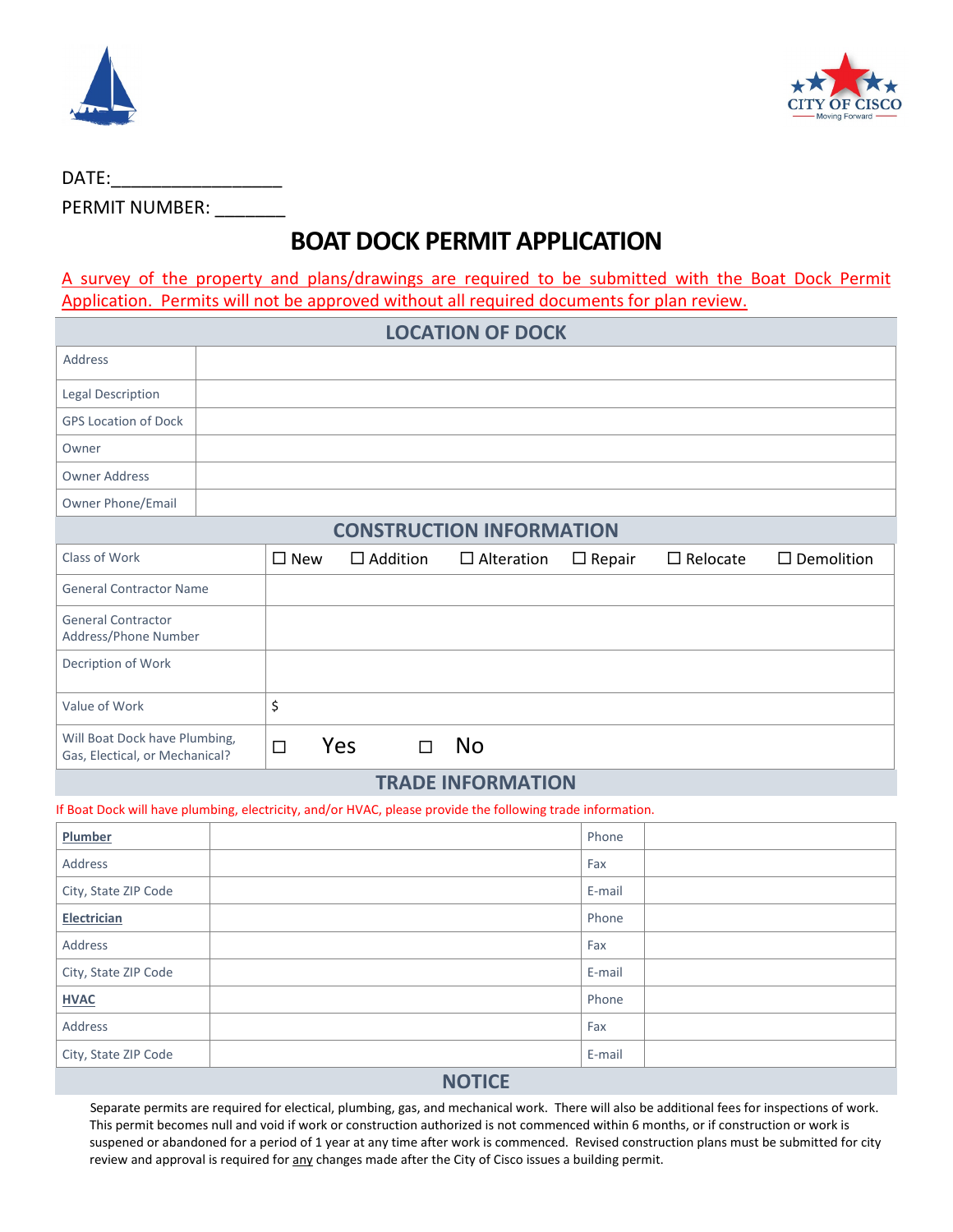



| DATE:                 |  |
|-----------------------|--|
| <b>PERMIT NUMBER:</b> |  |

# **BOAT DOCK PERMIT APPLICATION**

A survey of the property and plans/drawings are required to be submitted with the Boat Dock Permit Application. Permits will not be approved without all required documents for plan review.

| <b>LOCATION OF DOCK</b>                                         |               |                 |                   |               |                 |                   |
|-----------------------------------------------------------------|---------------|-----------------|-------------------|---------------|-----------------|-------------------|
| <b>Address</b>                                                  |               |                 |                   |               |                 |                   |
| Legal Description                                               |               |                 |                   |               |                 |                   |
| <b>GPS Location of Dock</b>                                     |               |                 |                   |               |                 |                   |
| Owner                                                           |               |                 |                   |               |                 |                   |
| <b>Owner Address</b>                                            |               |                 |                   |               |                 |                   |
| Owner Phone/Email                                               |               |                 |                   |               |                 |                   |
| <b>CONSTRUCTION INFORMATION</b>                                 |               |                 |                   |               |                 |                   |
| Class of Work                                                   | $\square$ New | $\Box$ Addition | $\Box$ Alteration | $\Box$ Repair | $\Box$ Relocate | $\Box$ Demolition |
| <b>General Contractor Name</b>                                  |               |                 |                   |               |                 |                   |
| <b>General Contractor</b><br>Address/Phone Number               |               |                 |                   |               |                 |                   |
| Decription of Work                                              |               |                 |                   |               |                 |                   |
| Value of Work                                                   | \$            |                 |                   |               |                 |                   |
| Will Boat Dock have Plumbing,<br>Gas, Electical, or Mechanical? | $\Box$        | Yes<br>$\Box$   | <b>No</b>         |               |                 |                   |
| <b>TDANE INEODMATION</b>                                        |               |                 |                   |               |                 |                   |

### **TRADE INFORMATION**

#### If Boat Dock will have plumbing, electricity, and/or HVAC, please provide the following trade information.

| Plumber              |  | Phone  |  |  |
|----------------------|--|--------|--|--|
| Address              |  | Fax    |  |  |
| City, State ZIP Code |  | E-mail |  |  |
| Electrician          |  | Phone  |  |  |
| Address              |  | Fax    |  |  |
| City, State ZIP Code |  | E-mail |  |  |
| <b>HVAC</b>          |  | Phone  |  |  |
| Address              |  | Fax    |  |  |
| City, State ZIP Code |  | E-mail |  |  |
| <b>NIOTICE</b>       |  |        |  |  |

#### **NOTICE**

 Separate permits are required for electical, plumbing, gas, and mechanical work. There will also be additional fees for inspections of work. This permit becomes null and void if work or construction authorized is not commenced within 6 months, or if construction or work is suspened or abandoned for a period of 1 year at any time after work is commenced. Revised construction plans must be submitted for city review and approval is required for any changes made after the City of Cisco issues a building permit.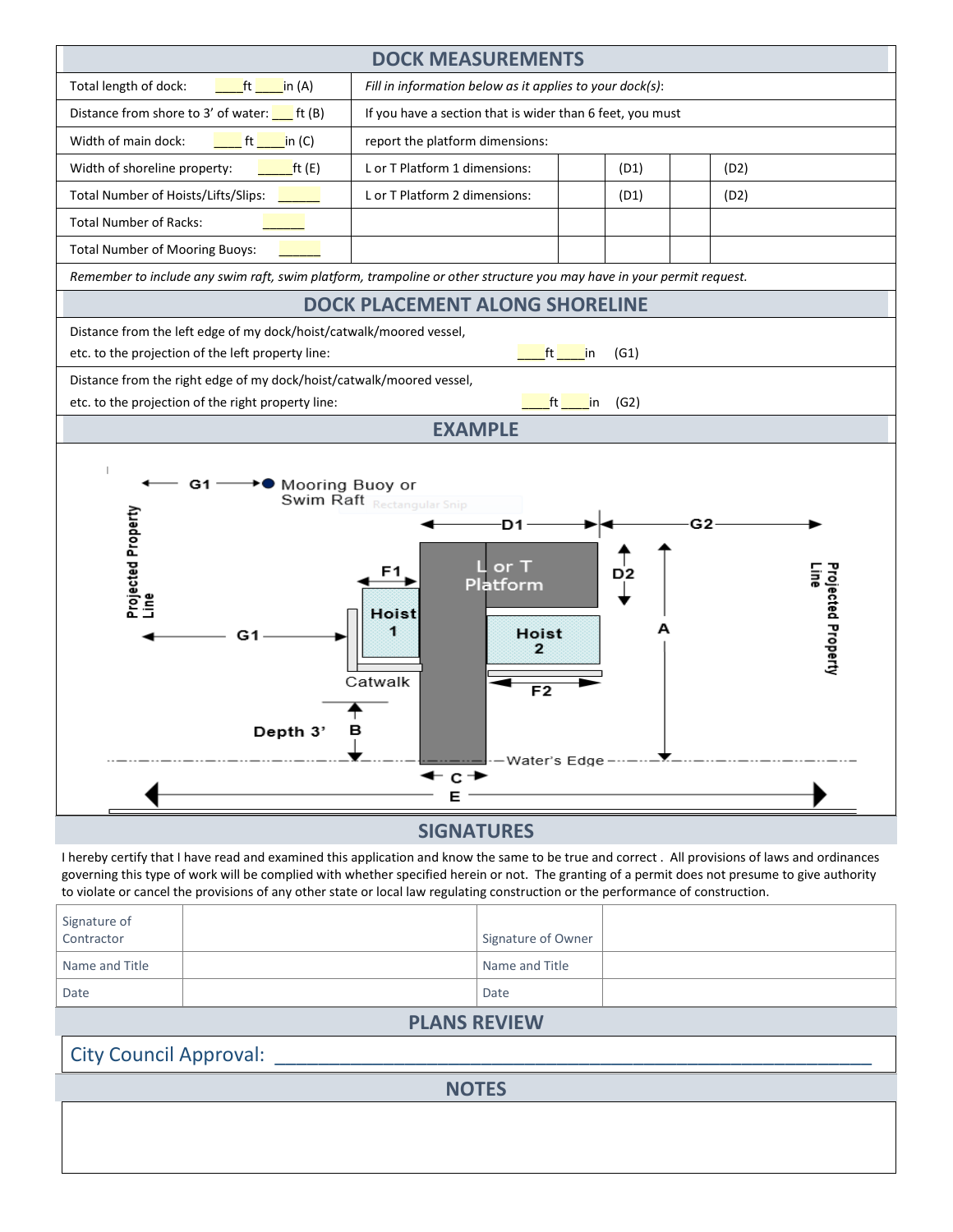

#### **SIGNATURES**

I hereby certify that I have read and examined this application and know the same to be true and correct . All provisions of laws and ordinances governing this type of work will be complied with whether specified herein or not. The granting of a permit does not presume to give authority to violate or cancel the provisions of any other state or local law regulating construction or the performance of construction.

| <b>DI ANIC DEVIEWAL</b>    |  |                    |  |  |  |
|----------------------------|--|--------------------|--|--|--|
| Date                       |  | Date               |  |  |  |
| Name and Title             |  | Name and Title     |  |  |  |
| Signature of<br>Contractor |  | Signature of Owner |  |  |  |

#### **PLANS REVIEW**

City Council Approval:

**NOTES**